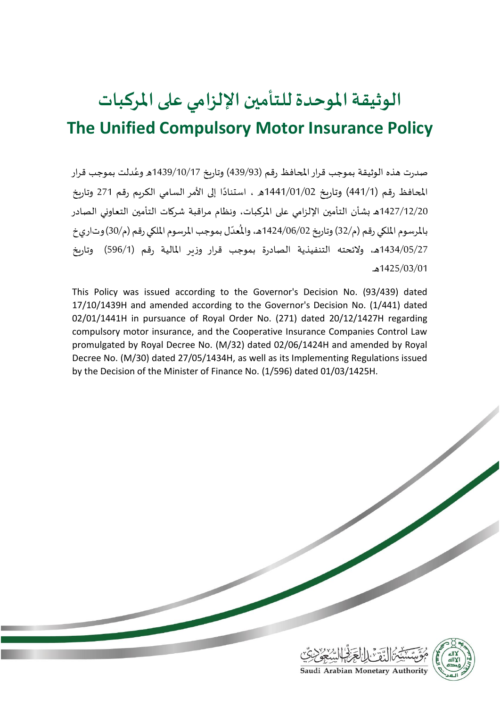## **الوثيقة املوحدة للتأمين اإللزامي على املركبات The Unified Compulsory Motor Insurance Policy**

صدرت هذه الوثيقة بموجب قرار المحافظ رقم (439/93) وتاريخ 1439/10/17ه وعُدلت بموجب قرار ٍّ المحافظ رقم (441/1) وتاريخ 1441/01/02هـ ، استنادًا إلى الأمر السامي الكريم رقم 271 وتاريخ ً 1427/12/20هـ بشأن التأمين اإللزامي على املركبات، ونظام مراقبة شركات التأمين التعاوني الصادر بالمرسوم الملكي رقم (م/32) وتاريخ 1424/06/02هـ، والمُعدّل بموجب المرسوم الملكي رقم (م/30) وت|ريخ  $\tilde{\cdot}$ **ٔ** 1434/05/27هـ، والئحته التنفيذية الصادرة بموجب قرار وزير املالية رقم (596/1) وتاريخ 1425/03/01هـ.

This Policy was issued according to the Governor's Decision No. (93/439) dated 17/10/1439H and amended according to the Governor's Decision No. (1/441) dated 02/01/1441H in pursuance of Royal Order No. (271) dated 20/12/1427H regarding compulsory motor insurance, and the Cooperative Insurance Companies Control Law promulgated by Royal Decree No. (M/32) dated 02/06/1424H and amended by Royal Decree No. (M/30) dated 27/05/1434H, as well as its Implementing Regulations issued by the Decision of the Minister of Finance No. (1/596) dated 01/03/1425H.

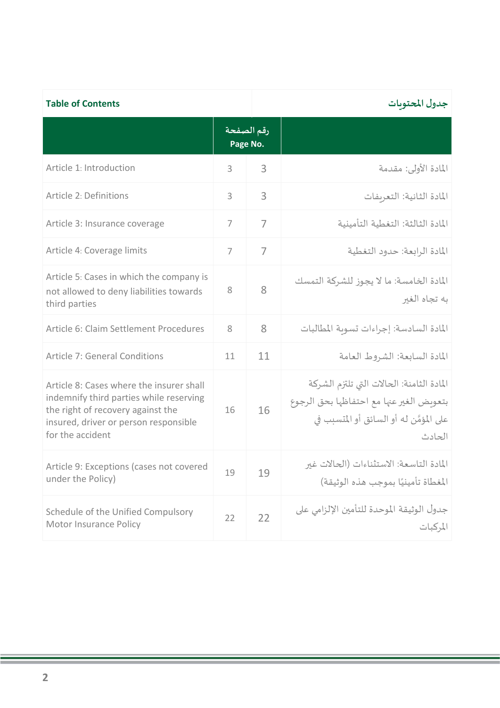| <b>Table of Contents</b>                                                                                                                                                              |                |                        | جدول المحتوبات                                                                                                                             |
|---------------------------------------------------------------------------------------------------------------------------------------------------------------------------------------|----------------|------------------------|--------------------------------------------------------------------------------------------------------------------------------------------|
|                                                                                                                                                                                       |                | رقم الصفحة<br>Page No. |                                                                                                                                            |
| Article 1: Introduction                                                                                                                                                               | 3              | 3                      | المادة الأولى: مقدمة                                                                                                                       |
| Article 2: Definitions                                                                                                                                                                | 3              | 3                      | المادة الثانية: التعريفات                                                                                                                  |
| Article 3: Insurance coverage                                                                                                                                                         | $\overline{7}$ | $\overline{7}$         | المادة الثالثة: التغطية التأمينية                                                                                                          |
| Article 4: Coverage limits                                                                                                                                                            | $\overline{7}$ | $\overline{7}$         | المادة الرابعة: حدود التغطية                                                                                                               |
| Article 5: Cases in which the company is<br>not allowed to deny liabilities towards<br>third parties                                                                                  | 8              | 8                      | المادة الخامسة: ما لا يجوز للشركة التمسك<br>به تجاه الغبر                                                                                  |
| Article 6: Claim Settlement Procedures                                                                                                                                                | 8              | 8                      | المادة السادسة: إجراءات تسوبة المطالبات                                                                                                    |
| <b>Article 7: General Conditions</b>                                                                                                                                                  | 11             | 11                     | المادة السابعة: الشروط العامة                                                                                                              |
| Article 8: Cases where the insurer shall<br>indemnify third parties while reserving<br>the right of recovery against the<br>insured, driver or person responsible<br>for the accident | 16             | 16                     | المادة الثامنة: الحالات التي تلتزم الشركة<br>بتعويض الغير عنها مع احتفاظها بحق الرجوع<br>على المؤمَّن له أو السائق أو المتسبب في<br>الحادث |
| Article 9: Exceptions (cases not covered<br>under the Policy)                                                                                                                         | 19             | 19                     | المادة التاسعة: الاستثناءات (الحالات غير<br>المغطاة تأمينيًا بموجب هذه الوثيقة)                                                            |
| Schedule of the Unified Compulsory<br>Motor Insurance Policy                                                                                                                          | 22             | 22                     | جدول الوثيقة الموحدة للتأمين الإلزامي على<br>المركبات                                                                                      |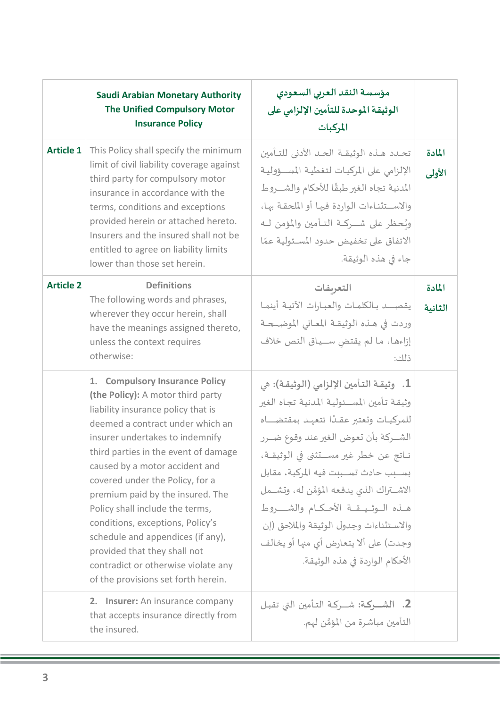|                  | <b>Saudi Arabian Monetary Authority</b><br><b>The Unified Compulsory Motor</b><br><b>Insurance Policy</b>                                                                                                                                                                                                                                                                                                                                                                                                                                                             | مؤسسة النقد العربى السعودى<br>الوثيقة الموحدة للتأمين الإلزامى على<br>المركبات                                                                                                                                                                                                                                                                                                                                                                                 |                   |
|------------------|-----------------------------------------------------------------------------------------------------------------------------------------------------------------------------------------------------------------------------------------------------------------------------------------------------------------------------------------------------------------------------------------------------------------------------------------------------------------------------------------------------------------------------------------------------------------------|----------------------------------------------------------------------------------------------------------------------------------------------------------------------------------------------------------------------------------------------------------------------------------------------------------------------------------------------------------------------------------------------------------------------------------------------------------------|-------------------|
| <b>Article 1</b> | This Policy shall specify the minimum<br>limit of civil liability coverage against<br>third party for compulsory motor<br>insurance in accordance with the<br>terms, conditions and exceptions<br>provided herein or attached hereto.<br>Insurers and the insured shall not be<br>entitled to agree on liability limits<br>lower than those set herein.                                                                                                                                                                                                               | تحدد هذه الوثيقة الحد الأدنى للتأمين<br>الإلزامي على المركبات لتغطية المسـؤولية<br>المدنية تجاه الغير طبقًا للأحكام والشـــروط<br>والاستثناءات الواردة فيها أو الملحقة بها،<br>ونُحظر على شـــركــة التــأمين والمؤمن لــه<br>الاتفاق على تخفيض حدود المسئولية عمّا<br>جاء في هذه الوثيقة.                                                                                                                                                                     | المادة<br>الأولى  |
| <b>Article 2</b> | <b>Definitions</b><br>The following words and phrases,<br>wherever they occur herein, shall<br>have the meanings assigned thereto,<br>unless the context requires<br>otherwise:                                                                                                                                                                                                                                                                                                                                                                                       | التعريفات<br>يقصب بالكلمات والعبارات الآتية أينما<br>وردت في هذه الوثيقة المعاني الموضحة<br>إزاءها، ما لم يقتض سـياق النص خلاف<br>ذلك:                                                                                                                                                                                                                                                                                                                         | المادة<br>الثانية |
|                  | <b>Compulsory Insurance Policy</b><br>1.<br>(the Policy): A motor third party<br>liability insurance policy that is<br>deemed a contract under which an<br>insurer undertakes to indemnify<br>third parties in the event of damage<br>caused by a motor accident and<br>covered under the Policy, for a<br>premium paid by the insured. The<br>Policy shall include the terms,<br>conditions, exceptions, Policy's<br>schedule and appendices (if any),<br>provided that they shall not<br>contradict or otherwise violate any<br>of the provisions set forth herein. | 1. وثيقة التأمين الإلزامي (الوثيقة): هي<br>وثيقة تأمين المسـئولية المدنية تجاه الغير<br>للمركبات وتعتبر عقدًا تتعهد بمقتضاه<br>الشــركة بأن تعوض الغير عند وقوع ضــرر<br>ناتج عن خطر غير مســتثنى في الوثيقــة،<br>بســبب حادث تســببت فيه المركبة، مقابل<br>الاشــتراك الذي يدفعه المؤمَّن له، وتشــمل<br>هنده الوثيقة الأحكام والشروط<br>والاستثناءات وجدول الوثيقة والملاحق (إن<br>وجدت) على ألا يتعارض أي منها أو يخالف<br>الأحكام الواردة في هذه الوثيقة. |                   |
|                  | <b>Insurer:</b> An insurance company<br>2.<br>that accepts insurance directly from<br>the insured.                                                                                                                                                                                                                                                                                                                                                                                                                                                                    | 2.   الشـــركـة: شـــركـة التـأمين التي تقبـل<br>التأمين مباشرة من المؤمَّن لهم.                                                                                                                                                                                                                                                                                                                                                                               |                   |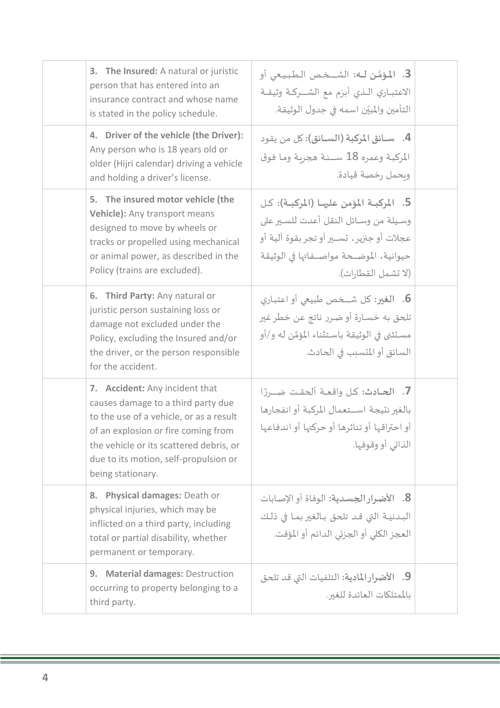| 3. The Insured: A natural or juristic<br>person that has entered into an<br>insurance contract and whose name<br>is stated in the policy schedule.                                                                                                              | 8. المؤمَّن لـه: الشــخص الطبيعي أو<br>الاعتبـاري الـذي أبرَم مع الشـــركـة وثيقـة<br>التأمين والمبيّن اسمه في جدول الوثيقة.                                                                         |  |
|-----------------------------------------------------------------------------------------------------------------------------------------------------------------------------------------------------------------------------------------------------------------|------------------------------------------------------------------------------------------------------------------------------------------------------------------------------------------------------|--|
| 4. Driver of the vehicle (the Driver):<br>Any person who is 18 years old or<br>older (Hijri calendar) driving a vehicle<br>and holding a driver's license.                                                                                                      | 4. ســائق المركبة (الســائق): كل من يقود<br>المركبة وعمره 18 ســنة هجربة وما فوق<br>وبحمل رخصة قيادة.                                                                                                |  |
| 5. The insured motor vehicle (the<br><b>Vehicle):</b> Any transport means<br>designed to move by wheels or<br>tracks or propelled using mechanical<br>or animal power, as described in the<br>Policy (trains are excluded).                                     | 5. المركبــة المؤمن عليهــا (المركبــة): كـل<br>وسـيلة من وسـائل النقل أعدت للسـير على<br>عجلات أوجنزير ، تســير أو تجر بقوة آلية أو<br>حيوانية، الموضحة مواصفاتها في الوثيقة<br>(لا تشمل القطارات). |  |
| 6. Third Party: Any natural or<br>juristic person sustaining loss or<br>damage not excluded under the<br>Policy, excluding the Insured and/or<br>the driver, or the person responsible<br>for the accident.                                                     | 6. الغير: كل شهخص طبيعي أو اعتباري<br>تلحق به خسارة أو ضرر ناتج عن خطر غير<br>مستثنى في الوثيقة باستثناء المؤمَّن له و/أو<br>السائق أو المتسبب في الحادث.                                            |  |
| 7. Accident: Any incident that<br>causes damage to a third party due<br>to the use of a vehicle, or as a result<br>of an explosion or fire coming from<br>the vehicle or its scattered debris, or<br>due to its motion, self-propulsion or<br>being stationary. | 7. الحـادث: كل واقعـة ألحقت ضــررًا<br>بالغير نتيجة استعمال المركبة أو انفجارها<br>أو احتراقها أو تناثرها أو حركتها أو اندفاعها<br>الذاتي أو وقوفها.                                                 |  |
| <b>Physical damages: Death or</b><br>8.<br>physical injuries, which may be<br>inflicted on a third party, including<br>total or partial disability, whether<br>permanent or temporary.                                                                          | 8. الأضرارالجسدية: الوفاة أو الإصابات<br>البدنية التي قد تلحق بالغير بما في ذلك<br>العجز الكلى أو الجزئي الدائم أو المؤقت.                                                                           |  |
| <b>Material damages: Destruction</b><br>9.<br>occurring to property belonging to a<br>third party.                                                                                                                                                              | 9.   الأضرارالمادية: التلفيات التي قد تلحق<br>بالممتلكات العائدة للغبر                                                                                                                               |  |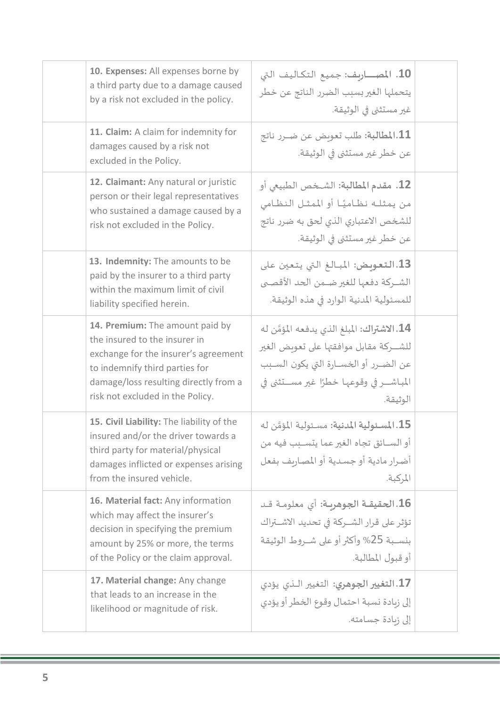| 10. Expenses: All expenses borne by<br>a third party due to a damage caused<br>by a risk not excluded in the policy.                                                                                                    | 10. المصـــاريف: جميع التكـاليف التي<br>يتحملها الغيربسبب الضرر الناتج عن خطر<br>غير مستثنى في الوثيقة.                                                                                           |  |
|-------------------------------------------------------------------------------------------------------------------------------------------------------------------------------------------------------------------------|---------------------------------------------------------------------------------------------------------------------------------------------------------------------------------------------------|--|
| 11. Claim: A claim for indemnity for<br>damages caused by a risk not<br>excluded in the Policy.                                                                                                                         | 11.المطالبة: طلب تعويض عن ضــرر ناتج<br>عن خطر غير مستثنى في الوثيقة.                                                                                                                             |  |
| 12. Claimant: Any natural or juristic<br>person or their legal representatives<br>who sustained a damage caused by a<br>risk not excluded in the Policy.                                                                | 12. مقدم المطالبة: الشخص الطبيعي أو<br>من يمثله نظاميًا أو الممثل النظامي<br>للشخص الاعتباري الذي لحق به ضرر ناتج<br>عن خطر غير مستثنى في الوثيقة.                                                |  |
| 13. Indemnity: The amounts to be<br>paid by the insurer to a third party<br>within the maximum limit of civil<br>liability specified herein.                                                                            | 13.التعويض: المبالغ التي يتعين على<br>الشــركة دفعها للغير ضـمن الحد الأقصـي<br>للمسئولية المدنية الوارد فى هذه الوثيقة.                                                                          |  |
| 14. Premium: The amount paid by<br>the insured to the insurer in<br>exchange for the insurer's agreement<br>to indemnify third parties for<br>damage/loss resulting directly from a<br>risk not excluded in the Policy. | 14. الاشتراك: المبلغ الذي يدفعه المؤمَّن له<br>للشـــركة مقابل موافقتها على تعويض الغير<br>عن الضــرر أو الخســارة التي يكون الســبب<br>المباشـــر في وقـوعهـا خطرًا غير مســـتثنى في<br>الوثيقة. |  |
| 15. Civil Liability: The liability of the<br>insured and/or the driver towards a<br>third party for material/physical<br>damages inflicted or expenses arising<br>from the insured vehicle.                             | 15.المسئولية المدنية: مسئولية المؤمَّن له<br>أو الســـائق تجاه الغير عما يتســبب فيه من<br>أضرار مادية أو جسدية أو المصاريف بفعل<br>المركبة.                                                      |  |
| 16. Material fact: Any information<br>which may affect the insurer's<br>decision in specifying the premium<br>amount by 25% or more, the terms<br>of the Policy or the claim approval.                                  | .16. الحقيقــة الجوهربــة: أي معلومــة قــد<br>تؤثر على قرار الشــركة في تحديد الاشــتراك<br>بنسـبة 25% وأكثر أو على شــروط الوثيقة<br>أو قبول المطالبة.                                          |  |
| 17. Material change: Any change<br>that leads to an increase in the<br>likelihood or magnitude of risk.                                                                                                                 | 17. التغيير الجوهري: التغيير الـذي يؤدي<br>إلى زبادة نسبة احتمال وقوع الخطر أو يؤدي<br>إلى زبادة جسامته.                                                                                          |  |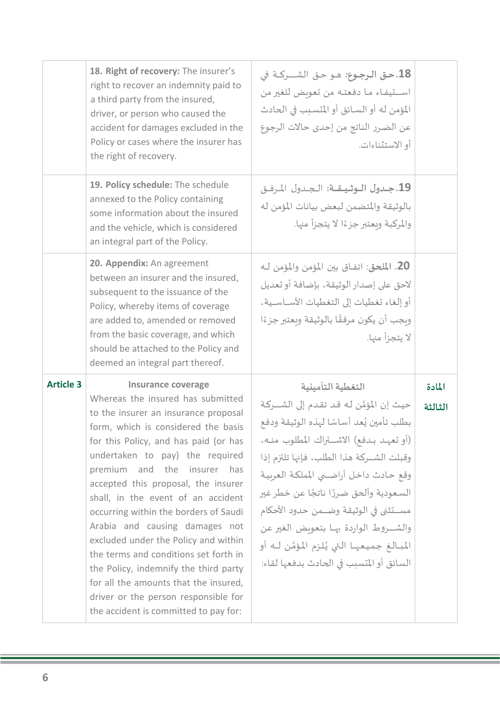|                  | 18. Right of recovery: The insurer's<br>right to recover an indemnity paid to<br>a third party from the insured,<br>driver, or person who caused the<br>accident for damages excluded in the<br>Policy or cases where the insurer has<br>the right of recovery.                                                                                                                                                                                                                                                                                                                                                                                                            | 18.حق الرجوع: هـو حـق الشــــركــة في<br>استيفاء ما دفعته من تعويض للغير من<br>المؤمن له أو السائق أو المتسبب في الحادث<br>عن الضرر الناتج من إحدى حالات الرجوع<br>أو الاستثناءات.                                                                                                                                                                                                                                                                                   |                   |
|------------------|----------------------------------------------------------------------------------------------------------------------------------------------------------------------------------------------------------------------------------------------------------------------------------------------------------------------------------------------------------------------------------------------------------------------------------------------------------------------------------------------------------------------------------------------------------------------------------------------------------------------------------------------------------------------------|----------------------------------------------------------------------------------------------------------------------------------------------------------------------------------------------------------------------------------------------------------------------------------------------------------------------------------------------------------------------------------------------------------------------------------------------------------------------|-------------------|
|                  | 19. Policy schedule: The schedule<br>annexed to the Policy containing<br>some information about the insured<br>and the vehicle, which is considered<br>an integral part of the Policy.                                                                                                                                                                                                                                                                                                                                                                                                                                                                                     | 19.جدول الـوثـيـقـة: الـجـدول المرفـق<br>بالوثيقة والمتضمن لبعض بيانات المؤمن له<br>والمركبة وبعتبر جزءًا لا يتجزأ منها.                                                                                                                                                                                                                                                                                                                                             |                   |
|                  | 20. Appendix: An agreement<br>between an insurer and the insured,<br>subsequent to the issuance of the<br>Policy, whereby items of coverage<br>are added to, amended or removed<br>from the basic coverage, and which<br>should be attached to the Policy and<br>deemed an integral part thereof.                                                                                                                                                                                                                                                                                                                                                                          | .20. الملحق: اتفـاق بين المؤمن والمؤمن لـه<br>لاحق على إصدار الوثيقة، بإضافة أو تعديل<br>أو إلغاء تغطيات إلى التغطيات الأســاســية،<br>وبجب أن يكون مرفقًا بالوثيقة وبعتبر جزءًا<br>لا يتجزأ منها.                                                                                                                                                                                                                                                                   |                   |
| <b>Article 3</b> | <b>Insurance coverage</b><br>Whereas the insured has submitted<br>to the insurer an insurance proposal<br>form, which is considered the basis<br>for this Policy, and has paid (or has<br>undertaken to pay) the required<br>and the<br>premium<br>insurer has<br>accepted this proposal, the insurer<br>shall, in the event of an accident<br>occurring within the borders of Saudi<br>Arabia and causing damages not<br>excluded under the Policy and within<br>the terms and conditions set forth in<br>the Policy, indemnify the third party<br>for all the amounts that the insured,<br>driver or the person responsible for<br>the accident is committed to pay for: | التغطية التأمينية<br>حيث إن المؤمَّن له قد تقدم إلى الشـــركة<br>بطلب تأمين يُعد أساسًا لهذه الوثيقة ودفع<br>(أو تعهد بدفع) الاشـــتراك المطلوب منـه،<br>وقبلت الشــركة هذا الطلب، فإنها تلتزم إذا<br>وقع حادث داخل أراضي المملكة العربية<br>السعودية وألحق ضررًا ناتجًا عن خطر غير<br>مســتثنى في الـوثيقة وضـــمن حدود الأحكام<br>والشـــروط الواردة بهــا بتعويض الغير عن<br>المبالغ جميعها التي يُلزم المؤمَّن له أو<br>السائق أو المتسبب في الحادث بدفعها لقاء: | المادة<br>الثالثة |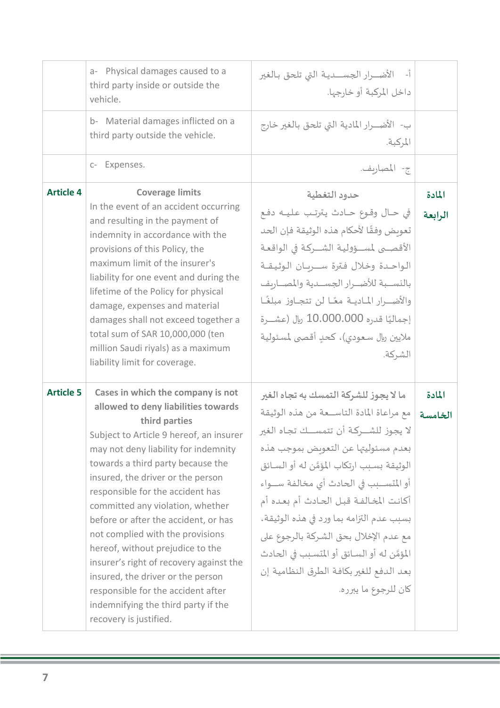|                  | a- Physical damages caused to a<br>third party inside or outside the<br>vehicle.                                                                                                                                                                                                                                                                                                                                                                                                                                                                                                                                                      | أ-     الأضـــرار الجســــديـة  التي تلحق بـالـغير<br>داخل المركبة أو خارجها.                                                                                                                                                                                                                                                                                                                                                                                                                                   |                   |
|------------------|---------------------------------------------------------------------------------------------------------------------------------------------------------------------------------------------------------------------------------------------------------------------------------------------------------------------------------------------------------------------------------------------------------------------------------------------------------------------------------------------------------------------------------------------------------------------------------------------------------------------------------------|-----------------------------------------------------------------------------------------------------------------------------------------------------------------------------------------------------------------------------------------------------------------------------------------------------------------------------------------------------------------------------------------------------------------------------------------------------------------------------------------------------------------|-------------------|
|                  | Material damages inflicted on a<br>$b-$<br>third party outside the vehicle.                                                                                                                                                                                                                                                                                                                                                                                                                                                                                                                                                           | ب- الأضرار المادية التي تلحق بالغير خارج<br>المركبة.                                                                                                                                                                                                                                                                                                                                                                                                                                                            |                   |
|                  | Expenses.<br>$C-$                                                                                                                                                                                                                                                                                                                                                                                                                                                                                                                                                                                                                     | ج- المصاريف.                                                                                                                                                                                                                                                                                                                                                                                                                                                                                                    |                   |
| <b>Article 4</b> | <b>Coverage limits</b><br>In the event of an accident occurring<br>and resulting in the payment of<br>indemnity in accordance with the<br>provisions of this Policy, the<br>maximum limit of the insurer's<br>liability for one event and during the<br>lifetime of the Policy for physical<br>damage, expenses and material<br>damages shall not exceed together a<br>total sum of SAR 10,000,000 (ten<br>million Saudi riyals) as a maximum<br>liability limit for coverage.                                                                                                                                                        | حدود التغطية<br>في حـال وقـوع حـادث يترتـب عليـه دفع<br>تعويض وفقًا لأحكام هذه الوثيقة فإن الحد<br>الأقصـــى لمســـؤوليـة الشــــركـة في الـواقـعـة<br>الواحدة وخلال فترة سربان الوثيقة<br>بالنســبة للأضــرار الجســدية والمصــاربف<br>والأضـــرار المــاديــة معًــا لن تتجــاوز مبلغًــا<br>إجماليًا قدره 10.000.000 ريال (عشــرة<br>ملايين ريال سعودي)، كحدٍ أقصى لمسئولية<br>الشركة.                                                                                                                       | المادة<br>الرابعة |
| <b>Article 5</b> | Cases in which the company is not<br>allowed to deny liabilities towards<br>third parties<br>Subject to Article 9 hereof, an insurer<br>may not deny liability for indemnity<br>towards a third party because the<br>insured, the driver or the person<br>responsible for the accident has<br>committed any violation, whether<br>before or after the accident, or has<br>not complied with the provisions<br>hereof, without prejudice to the<br>insurer's right of recovery against the<br>insured, the driver or the person<br>responsible for the accident after<br>indemnifying the third party if the<br>recovery is justified. | ما لا يجوز للشركة التمسك به تجاه الغير<br>مع مراعاة المادة التاســعة من هذه الوثيقة<br>لا يجوز للشـــركـة أن تتمســـك تجـاه الغير<br>بعدم مسئوليتها عن التعويض بموجب هذه<br>الوثيقة بسبب ارتكاب المؤمَّن له أو السـائق<br>أو المتســبب في الحادث أي مخالفة ســواء<br>أكانت المخالفة قبل الحادث أم بعده أم<br>بسبب عدم التزامه بما ورد في هذه الوثيقة،<br>مع عدم الإخلال بحق الشركة بالرجوع على<br>المؤمَّن له أو السائق أو المتسبب في الحادث<br>بعد الدفع للغير بكافة الطرق النظامية إن<br>كان للرجوع ما يبرره. | المادة<br>الخامسة |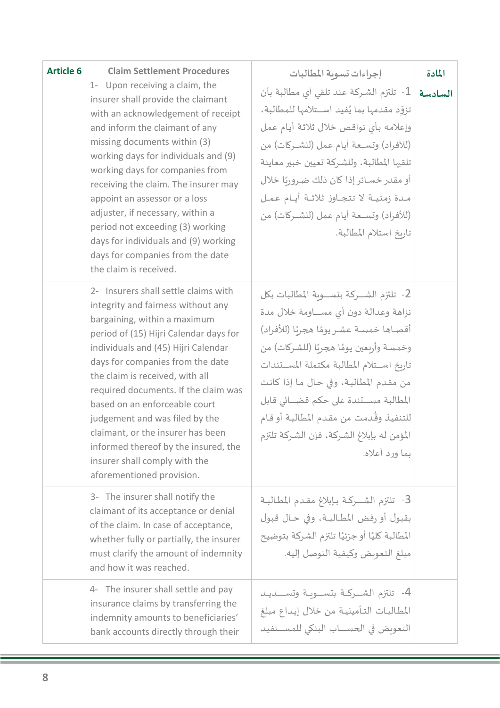| <b>Article 6</b> | <b>Claim Settlement Procedures</b><br>1- Upon receiving a claim, the<br>insurer shall provide the claimant<br>with an acknowledgement of receipt<br>and inform the claimant of any<br>missing documents within (3)<br>working days for individuals and (9)<br>working days for companies from<br>receiving the claim. The insurer may<br>appoint an assessor or a loss<br>adjuster, if necessary, within a<br>period not exceeding (3) working<br>days for individuals and (9) working<br>days for companies from the date<br>the claim is received. | إجراءات تسوبة المطالبات<br>  1-  تلتزم الشـركة عند تلقى أي مطالبة بأن<br>تزوّد مقدمها بما يُفيد استلامها للمطالبة،<br>وإعلامه بأى نواقص خلال ثلاثة أيام عمل<br>(للأفراد) وتســـعة أيام عمل (للشــركات) من<br>تلقيها المطالبة، وللشركة تعيين خبير معاينة<br>أو مقدر خسائر إذا كان ذلك ضروربًا خلال<br>مدة زمنيــة لا تتجــاوز ثلاثــة أيــام عمـل<br>(للأفراد) وتســـعة أيام عمل (للشــركات) من<br>تاريخ استلام المطالبة. | المادة<br>السادسة |
|------------------|------------------------------------------------------------------------------------------------------------------------------------------------------------------------------------------------------------------------------------------------------------------------------------------------------------------------------------------------------------------------------------------------------------------------------------------------------------------------------------------------------------------------------------------------------|--------------------------------------------------------------------------------------------------------------------------------------------------------------------------------------------------------------------------------------------------------------------------------------------------------------------------------------------------------------------------------------------------------------------------|-------------------|
|                  | 2- Insurers shall settle claims with<br>integrity and fairness without any<br>bargaining, within a maximum<br>period of (15) Hijri Calendar days for<br>individuals and (45) Hijri Calendar<br>days for companies from the date<br>the claim is received, with all<br>required documents. If the claim was<br>based on an enforceable court<br>judgement and was filed by the<br>claimant, or the insurer has been<br>informed thereof by the insured, the<br>insurer shall comply with the<br>aforementioned provision.                             | 2- تلتزم الشــركة بتســوبة المطالبات بكل<br>نزاهة وعدالة دون أي مســاومة خلال مدة<br>أقصاها خمسة عشريومًا هجربًا (للأفراد)<br>وخمسة وأربعين يومًا هجربًا (للشركات) من<br>تاربخ استلام المطالبة مكتملة المستندات<br>من مقدم المطالبة، وفي حال ما إذا كانت<br>المطالبة مستندة على حكم قضائي قابل<br>للتنفيذ وقُدمت من مقدم المطالبة أو قام<br>المؤمن له بإبلاغ الشركة، فإن الشركة تلتزم<br>بما ورد أعلاه.                  |                   |
|                  | 3- The insurer shall notify the<br>claimant of its acceptance or denial<br>of the claim. In case of acceptance,<br>whether fully or partially, the insurer<br>must clarify the amount of indemnity<br>and how it was reached.                                                                                                                                                                                                                                                                                                                        | 3-   تلتزم الشـــركـة بـإبلاغ مقـدم المطـالبـة<br>بقبول أو رفض المطالبة، وفي حال قبول<br>المطالبة كليًا أو جزئيًا تلتزم الشركة بتوضيح<br>مبلغ التعويض وكيفية التوصل إليه.                                                                                                                                                                                                                                                |                   |
|                  | The insurer shall settle and pay<br>4-<br>insurance claims by transferring the<br>indemnity amounts to beneficiaries'<br>bank accounts directly through their                                                                                                                                                                                                                                                                                                                                                                                        | 4-  تلتزم الشــركــة بتســـوبــة وتســــديــد<br>المطالبات التأمينية من خلال إيداع مبلغ<br>التعويض في الحســـاب البنكي للمســـتفيد                                                                                                                                                                                                                                                                                       |                   |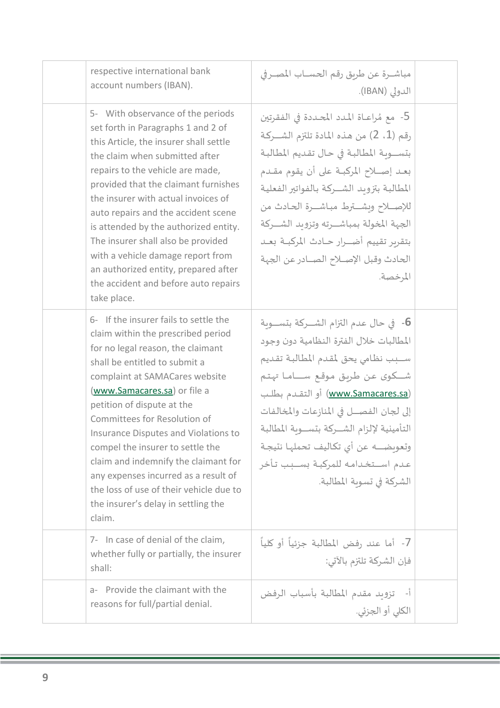| respective international bank<br>account numbers (IBAN).                                                                                                                                                                                                                                                                                                                                                                                                                                                                                  | مباشــرة عن طريق رقم الحســاب المصـرفي<br>الدولي (IBAN).                                                                                                                                                                                                                                                                                                                                                                      |  |
|-------------------------------------------------------------------------------------------------------------------------------------------------------------------------------------------------------------------------------------------------------------------------------------------------------------------------------------------------------------------------------------------------------------------------------------------------------------------------------------------------------------------------------------------|-------------------------------------------------------------------------------------------------------------------------------------------------------------------------------------------------------------------------------------------------------------------------------------------------------------------------------------------------------------------------------------------------------------------------------|--|
| 5- With observance of the periods<br>set forth in Paragraphs 1 and 2 of<br>this Article, the insurer shall settle<br>the claim when submitted after<br>repairs to the vehicle are made,<br>provided that the claimant furnishes<br>the insurer with actual invoices of<br>auto repairs and the accident scene<br>is attended by the authorized entity.<br>The insurer shall also be provided<br>with a vehicle damage report from<br>an authorized entity, prepared after<br>the accident and before auto repairs<br>take place.          | 5- مع مُراعــاة المـدد المحـددة في الفقرتين<br>رقم (1، 2) من هذه المادة تلتزم الشـــركـة<br>بتســـوبة المطالبة في حال تقديم المطالبة<br>بعد إصلاح المركبة على أن يقوم مقدم<br>المطالبة بتزويد الشبركة بالفواتير الفعلية<br>للإصـــلاح وبشـــترط مبـاشــــرة الحــادث من<br>الجهة المخولة بمباشــرته وتزوىد الشــركة<br>بتقربر تقييم أضــرار حـادث المركبــة بعـد<br>الحادث وقبل الإصلاح الصـادر عن الجهة<br>المرخصة.          |  |
| 6- If the insurer fails to settle the<br>claim within the prescribed period<br>for no legal reason, the claimant<br>shall be entitled to submit a<br>complaint at SAMACares website<br>(www.Samacares.sa) or file a<br>petition of dispute at the<br>Committees for Resolution of<br>Insurance Disputes and Violations to<br>compel the insurer to settle the<br>claim and indemnify the claimant for<br>any expenses incurred as a result of<br>the loss of use of their vehicle due to<br>the insurer's delay in settling the<br>claim. | <b>6</b> -   في حال عدم التزام الشــــركة بتســــوبة<br>المطالبات خلال الفترة النظامية دون وجود<br>سبب نظامى يحق لمقدم المطالبة تقديم<br>شــكوى عن طريق موقع ســـامـا تهتم<br>( <u>www.Samacares.sa)</u> أو التقدم بطلب<br>إلى لجان الفصــل في المنازعات والمخالفات<br>التأمينية لإلزام الشـركة بتســوبة المطالبة<br>وتعويضـــه عن أي تكاليف تحملها نتيجة<br>عدم اســتخدامه للمركبـة بســبب تأخر<br>الشركة في تسوية المطالبة. |  |
| In case of denial of the claim,<br>7-<br>whether fully or partially, the insurer<br>shall:                                                                                                                                                                                                                                                                                                                                                                                                                                                | 7- أما عند رفض المطالبة جزئياً أو كلياً<br>فإن الشركة تلتزم بالآتي:                                                                                                                                                                                                                                                                                                                                                           |  |
| Provide the claimant with the<br>$a -$<br>reasons for full/partial denial.                                                                                                                                                                                                                                                                                                                                                                                                                                                                | تزويد مقدم المطالبة بأسباب الرفض<br>الكلى أو الجزئي.                                                                                                                                                                                                                                                                                                                                                                          |  |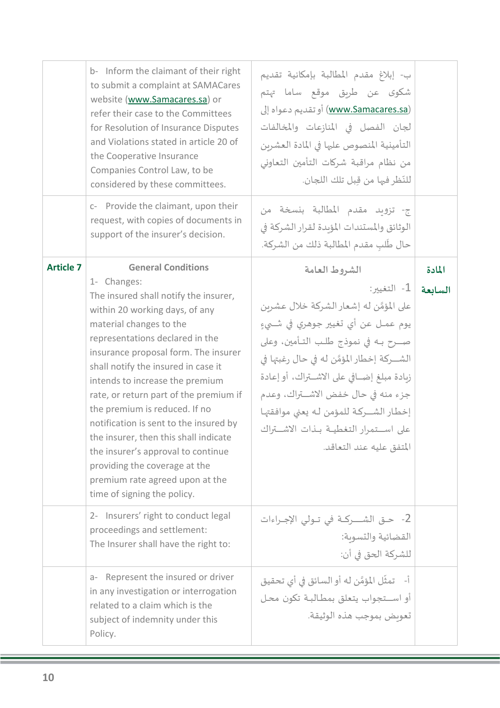|                  | b- Inform the claimant of their right<br>to submit a complaint at SAMACares<br>website (www.Samacares.sa) or<br>refer their case to the Committees<br>for Resolution of Insurance Disputes<br>and Violations stated in article 20 of<br>the Cooperative Insurance<br>Companies Control Law, to be<br>considered by these committees.                                                                                                                                                                                                                                                                       | ب- إبلاغ مقدم المطالبة بإمكانية تقديم<br>شكوى عن طريق موقع ساما تهتم<br>(www.Samacares.sa) أوتقديم دعواه إلى<br>لجان الفصل في المنازعات والمخالفات<br>التأمينية المنصوص عليها في المادة العشربن<br>من نظام مراقبة شركات التأمين التعاوني<br>للنّظر فيها من قِبل تلك اللجان.                                                                                             |                   |
|------------------|------------------------------------------------------------------------------------------------------------------------------------------------------------------------------------------------------------------------------------------------------------------------------------------------------------------------------------------------------------------------------------------------------------------------------------------------------------------------------------------------------------------------------------------------------------------------------------------------------------|-------------------------------------------------------------------------------------------------------------------------------------------------------------------------------------------------------------------------------------------------------------------------------------------------------------------------------------------------------------------------|-------------------|
|                  | c- Provide the claimant, upon their<br>request, with copies of documents in<br>support of the insurer's decision.                                                                                                                                                                                                                                                                                                                                                                                                                                                                                          | ج- تزويد مقدم المطالبة بنسخة من<br>الوثائق والمستندات المؤبدة لقرار الشركة في<br>حال طَّلب مقدم المطالبة ذلك من الشركة.                                                                                                                                                                                                                                                 |                   |
| <b>Article 7</b> | <b>General Conditions</b><br>1- Changes:<br>The insured shall notify the insurer,<br>within 20 working days, of any<br>material changes to the<br>representations declared in the<br>insurance proposal form. The insurer<br>shall notify the insured in case it<br>intends to increase the premium<br>rate, or return part of the premium if<br>the premium is reduced. If no<br>notification is sent to the insured by<br>the insurer, then this shall indicate<br>the insurer's approval to continue<br>providing the coverage at the<br>premium rate agreed upon at the<br>time of signing the policy. | الشروط العامة<br>ا 1- التغيير: $\,$<br>على المؤمَّن له إشعار الشركة خلال عشربن<br>يوم عمـل عن أي تغيير جوهري في شـيءٍ<br>الشـــركة إخطار المؤمَّن له في حال رغبتها في<br>زبادة مبلغ إضــافي على الاشــتراك، أو إعادة<br>جزء منه في حال خفض الاشـــتراك، وعدم<br>إخطار الشــركة للمؤمن له يعنى موافقتها<br>على استمرار التغطية بذات الاشتراك<br>المتفق عليه عند التعاقد. | المادة<br>السابعة |
|                  | 2- Insurers' right to conduct legal<br>proceedings and settlement:<br>The Insurer shall have the right to:                                                                                                                                                                                                                                                                                                                                                                                                                                                                                                 | 2-  حـق الشــــركــة في تــولي الإجــراءات<br>القضائية والتسوية:<br>للشركة الحق في أن:                                                                                                                                                                                                                                                                                  |                   |
|                  | Represent the insured or driver<br>a-<br>in any investigation or interrogation<br>related to a claim which is the<br>subject of indemnity under this<br>Policy.                                                                                                                                                                                                                                                                                                                                                                                                                                            | اً-    تمثّل المؤمَّن له أو السائق في أي تحقيق<br>أو استجواب يتعلق بمطالبة تكون محل<br>تعويض بموجب هذه الوثيقة.                                                                                                                                                                                                                                                         |                   |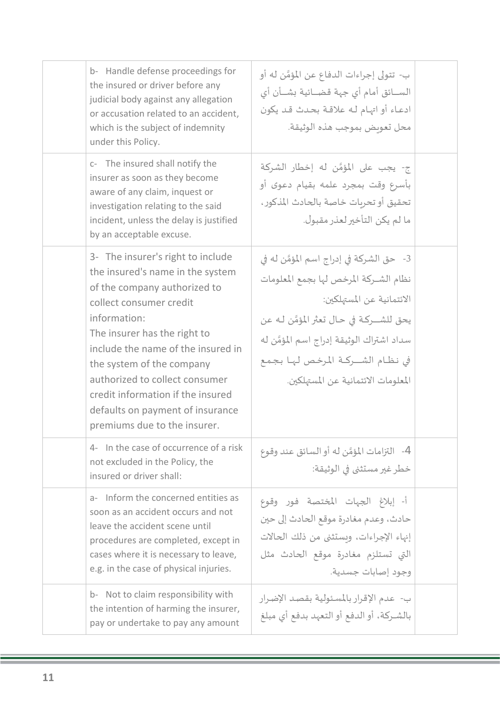| b- Handle defense proceedings for<br>the insured or driver before any<br>judicial body against any allegation<br>or accusation related to an accident,<br>which is the subject of indemnity<br>under this Policy.                                                                                                                                                                              | ب- تتولى إجراءات الدفاع عن المؤمَّن له أو<br>الســائق أمام أي جهة قضــائية بشــأن أي<br>ادعـاء أو اتهـام لـه علاقـة بحـدث قـد يكون<br>محل تعويض بموجب هذه الوثيقة.                                                                                                                           |
|------------------------------------------------------------------------------------------------------------------------------------------------------------------------------------------------------------------------------------------------------------------------------------------------------------------------------------------------------------------------------------------------|----------------------------------------------------------------------------------------------------------------------------------------------------------------------------------------------------------------------------------------------------------------------------------------------|
| c- The insured shall notify the<br>insurer as soon as they become<br>aware of any claim, inquest or<br>investigation relating to the said<br>incident, unless the delay is justified<br>by an acceptable excuse.                                                                                                                                                                               | ج- يجب على المؤمَّن له إخطار الشركة<br>بأسرع وقت بمجرد علمه بقيام دعوى أو<br>تحقيق أو تحربات خاصة بالحادث المذكور،<br>ما لم يكن التأخير لعذر مقبول.                                                                                                                                          |
| 3- The insurer's right to include<br>the insured's name in the system<br>of the company authorized to<br>collect consumer credit<br>information:<br>The insurer has the right to<br>include the name of the insured in<br>the system of the company<br>authorized to collect consumer<br>credit information if the insured<br>defaults on payment of insurance<br>premiums due to the insurer. | 3-   حق الشركة في إدراج اسم المؤمَّن له في<br>نظام الشـركة المرخص لها بجمع المعلومات<br>الائتمانية عن المستهلكين:<br>يحق للشـــركـة في حـال تعثر المؤمَّن لـه عن<br>سداد اشتراك الوثيقة إدراج اسم المؤمَّن له<br>في نظام الشــركــة المرخص لهــا بجمع<br>المعلومات الائتمانية عن المستهلكين. |
| 4- In the case of occurrence of a risk<br>not excluded in the Policy, the<br>insured or driver shall:                                                                                                                                                                                                                                                                                          | 4-   التزامات المؤمَّن له أو السائق عند وقوع<br>خطر غير مستثنى في الوثيقة:                                                                                                                                                                                                                   |
| Inform the concerned entities as<br>a-<br>soon as an accident occurs and not<br>leave the accident scene until<br>procedures are completed, except in<br>cases where it is necessary to leave,<br>e.g. in the case of physical injuries.                                                                                                                                                       | أ- إبلاغ الجهات المختصة فور وقوع<br>حادث، وعدم مغادرة موقع الحادث إلى حين<br>إنهاء الإجراءات، وبستثنى من ذلك الحالات<br>التي تستلزم مغادرة موقع الحادث مثل<br>وجود إصابات جسدية.                                                                                                             |
| b- Not to claim responsibility with<br>the intention of harming the insurer,<br>pay or undertake to pay any amount                                                                                                                                                                                                                                                                             | ب-  عدم الإقرار بالمسئولية بقصد الإضرار<br>بالشـركة، أو الدفع أو التعهد بدفع أي مبلغ                                                                                                                                                                                                         |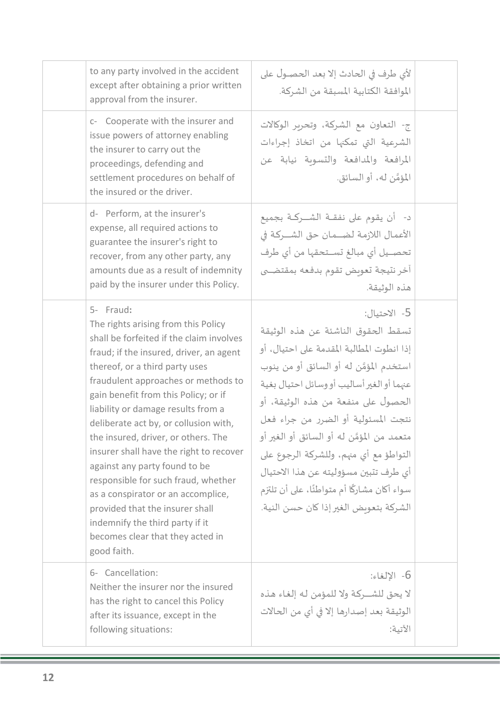| to any party involved in the accident<br>except after obtaining a prior written<br>approval from the insurer.                                                                                                                                                                                                                                                                                                                                                                                                                                                                                                                                                    | لأي طرف في الحادث إلا بعد الحصول على<br>الموافقة الكتابية المسبقة من الشركة.                                                                                                                                                                                                                                                                                                                                                                                                                   |  |
|------------------------------------------------------------------------------------------------------------------------------------------------------------------------------------------------------------------------------------------------------------------------------------------------------------------------------------------------------------------------------------------------------------------------------------------------------------------------------------------------------------------------------------------------------------------------------------------------------------------------------------------------------------------|------------------------------------------------------------------------------------------------------------------------------------------------------------------------------------------------------------------------------------------------------------------------------------------------------------------------------------------------------------------------------------------------------------------------------------------------------------------------------------------------|--|
| c- Cooperate with the insurer and<br>issue powers of attorney enabling<br>the insurer to carry out the<br>proceedings, defending and<br>settlement procedures on behalf of<br>the insured or the driver.                                                                                                                                                                                                                                                                                                                                                                                                                                                         | ج- التعاون مع الشركة، وتحرير الوكالات<br>الشرعية التي تمكنها من اتخاذ إجراءات<br>المرافعة والمدافعة والتسوية نيابة عن<br>المؤمَّن له، أو السائق.                                                                                                                                                                                                                                                                                                                                               |  |
| d- Perform, at the insurer's<br>expense, all required actions to<br>guarantee the insurer's right to<br>recover, from any other party, any<br>amounts due as a result of indemnity<br>paid by the insurer under this Policy.                                                                                                                                                                                                                                                                                                                                                                                                                                     | د- أن يقوم على نفقــة الشـــركــة بجميع<br>الأعمال اللازمة لضــمان حق الشـــركـة في<br>تحصــيل أي مبالغ تســتحقها من أي طرف<br>آخر نتيجة تعويض تقوم بدفعه بمقتضــى<br>هذه الوثيقة.                                                                                                                                                                                                                                                                                                             |  |
| 5- Fraud:<br>The rights arising from this Policy<br>shall be forfeited if the claim involves<br>fraud; if the insured, driver, an agent<br>thereof, or a third party uses<br>fraudulent approaches or methods to<br>gain benefit from this Policy; or if<br>liability or damage results from a<br>deliberate act by, or collusion with,<br>the insured, driver, or others. The<br>insurer shall have the right to recover<br>against any party found to be<br>responsible for such fraud, whether<br>as a conspirator or an accomplice,<br>provided that the insurer shall<br>indemnify the third party if it<br>becomes clear that they acted in<br>good faith. | 5- الاحتيال:<br>تسقط الحقوق الناشئة عن هذه الوثيقة<br>إذا انطوت المطالبة المقدمة على احتيال، أو<br>استخدم المؤمَّن له أو السائق أو من ينوب<br>عنهما أوالغير أساليب أووسائل احتيال بغية<br>الحصول على منفعة من هذه الوثيقة، أو<br>نتجت المسئولية أو الضرر من جراء فعل<br>متعمد من المؤمَّن له أو السائق أو الغير أو<br>التواطؤ مع أي منهم، وللشركة الرجوع على<br>أى طرف تتبين مسؤوليته عن هذا الاحتيال<br>سواء أكان مشاركًا أم متواطئًا، على أن تلتزم<br>الشركة بتعويض الغير إذا كان حسن النية. |  |
| 6- Cancellation:<br>Neither the insurer nor the insured<br>has the right to cancel this Policy<br>after its issuance, except in the<br>following situations:                                                                                                                                                                                                                                                                                                                                                                                                                                                                                                     | 6- الإلغاء:<br>لا يحق للشـــركـة ولا للمؤمن لـه إلغـاء هـذه<br>الـوثيقة بعد إصدارها إلا في أي من الحالات<br>الآتية:                                                                                                                                                                                                                                                                                                                                                                            |  |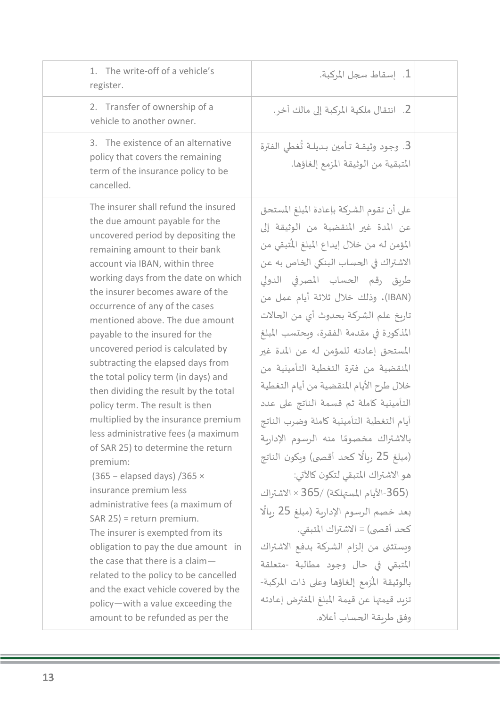| 1. The write-off of a vehicle's<br>register.                                                                                                                                                                                                                                                                                                                                                                                                                                                                                                                                                                                                                                                                                                                                                                                                                                                                                                                                                                                                                                 | 1. إسقاط سجل المركبة.                                                                                                                                                                                                                                                                                                                                                                                                                                                                                                                                                                                                                                                                                                                                                                                                                                                                                                                                                           |  |
|------------------------------------------------------------------------------------------------------------------------------------------------------------------------------------------------------------------------------------------------------------------------------------------------------------------------------------------------------------------------------------------------------------------------------------------------------------------------------------------------------------------------------------------------------------------------------------------------------------------------------------------------------------------------------------------------------------------------------------------------------------------------------------------------------------------------------------------------------------------------------------------------------------------------------------------------------------------------------------------------------------------------------------------------------------------------------|---------------------------------------------------------------------------------------------------------------------------------------------------------------------------------------------------------------------------------------------------------------------------------------------------------------------------------------------------------------------------------------------------------------------------------------------------------------------------------------------------------------------------------------------------------------------------------------------------------------------------------------------------------------------------------------------------------------------------------------------------------------------------------------------------------------------------------------------------------------------------------------------------------------------------------------------------------------------------------|--|
| 2. Transfer of ownership of a<br>vehicle to another owner.                                                                                                                                                                                                                                                                                                                                                                                                                                                                                                                                                                                                                                                                                                                                                                                                                                                                                                                                                                                                                   | 2.   انتقال ملكية المركبة إلى مالك آخر .                                                                                                                                                                                                                                                                                                                                                                                                                                                                                                                                                                                                                                                                                                                                                                                                                                                                                                                                        |  |
| 3. The existence of an alternative<br>policy that covers the remaining<br>term of the insurance policy to be<br>cancelled.                                                                                                                                                                                                                                                                                                                                                                                                                                                                                                                                                                                                                                                                                                                                                                                                                                                                                                                                                   | 3. وجود وثيقة تأمين بديلة تُغطى الفترة<br>المتبقية من الوثيقة المزمع إلغاؤها.                                                                                                                                                                                                                                                                                                                                                                                                                                                                                                                                                                                                                                                                                                                                                                                                                                                                                                   |  |
| The insurer shall refund the insured<br>the due amount payable for the<br>uncovered period by depositing the<br>remaining amount to their bank<br>account via IBAN, within three<br>working days from the date on which<br>the insurer becomes aware of the<br>occurrence of any of the cases<br>mentioned above. The due amount<br>payable to the insured for the<br>uncovered period is calculated by<br>subtracting the elapsed days from<br>the total policy term (in days) and<br>then dividing the result by the total<br>policy term. The result is then<br>multiplied by the insurance premium<br>less administrative fees (a maximum<br>of SAR 25) to determine the return<br>premium:<br>$(365 - elapse d days)$ /365 $\times$<br>insurance premium less<br>administrative fees (a maximum of<br>$SAR 25$ = return premium.<br>The insurer is exempted from its<br>obligation to pay the due amount in<br>the case that there is a claim $-$<br>related to the policy to be cancelled<br>and the exact vehicle covered by the<br>policy-with a value exceeding the | على أن تقوم الشركة بإعادة المبلغ المستحق<br>عن المدة غير المنقضية من الوثيقة إلى<br>المؤمن له من خلال إيداع المبلغ المُتبقى من<br>الاشتراك في الحساب البنكي الخاص به عن<br>طريق رقم الحساب المصرفى الدولى<br>(IBAN)، وذلك خلال ثلاثة أيام عمل من<br>تاريخ علم الشركة بحدوث أي من الحالات<br>المذكورة في مقدمة الفقرة، وبحتسب المبلغ<br>المستحق إعادته للمؤمن له عن المدة غير<br>المنقضية من فترة التغطية التأمينية من<br>خلال طرح الأيام المنقضية من أيام التغطية<br>التأمينية كاملة ثم قسمة الناتج على عدد<br>أيام التغطية التأمينية كاملة وضرب الناتج<br>بالاشتراك مخصومًا منه الرسوم الإدارية<br>(مبلغ 25 ربالًا كحد أقصى) وبكون الناتج<br>هو الاشتراك المتبقى لتكون كالآتى:<br>(365-الأيام المستهلكة) /365 × الاشتراك<br>بعد خصم الرسوم الإدارية (مبلغ 25 ربالًا<br>كحد أقصى) = الاشتراك المتبقى.<br>وبستثنى من إلزام الشركة بدفع الاشتراك<br>المتبقى في حال وجود مطالبة -متعلقة<br>بالوثيقة المُزمع إلغاؤها وعلى ذات المركبة-<br>تزبد قيمتها عن قيمة المبلغ المفترض إعادته |  |
| amount to be refunded as per the                                                                                                                                                                                                                                                                                                                                                                                                                                                                                                                                                                                                                                                                                                                                                                                                                                                                                                                                                                                                                                             | وفق طريقة الحساب أعلاه.                                                                                                                                                                                                                                                                                                                                                                                                                                                                                                                                                                                                                                                                                                                                                                                                                                                                                                                                                         |  |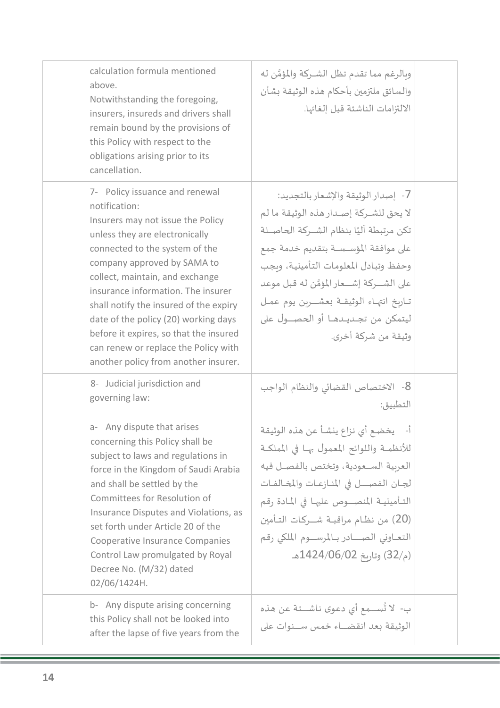| calculation formula mentioned<br>above.<br>Notwithstanding the foregoing,<br>insurers, insureds and drivers shall<br>remain bound by the provisions of<br>this Policy with respect to the<br>obligations arising prior to its<br>cancellation.                                                                                                                                                                                                                                  | وبالرغم مما تقدم تظل الشـركة والمؤمَّن له<br>والسائق ملتزمين بأحكام هذه الوثيقة بشأن<br>الالتزامات الناشئة قبل إلغائها.                                                                                                                                                                                                                                                 |  |
|---------------------------------------------------------------------------------------------------------------------------------------------------------------------------------------------------------------------------------------------------------------------------------------------------------------------------------------------------------------------------------------------------------------------------------------------------------------------------------|-------------------------------------------------------------------------------------------------------------------------------------------------------------------------------------------------------------------------------------------------------------------------------------------------------------------------------------------------------------------------|--|
| Policy issuance and renewal<br>7-<br>notification:<br>Insurers may not issue the Policy<br>unless they are electronically<br>connected to the system of the<br>company approved by SAMA to<br>collect, maintain, and exchange<br>insurance information. The insurer<br>shall notify the insured of the expiry<br>date of the policy (20) working days<br>before it expires, so that the insured<br>can renew or replace the Policy with<br>another policy from another insurer. | 7- إصدار الوثيقة والإشعار بالتجديد:<br>لا يحق للشــركة إصــدار هذه الوثيقة ما لم<br>تكن مرتبطة آليًا بنظام الشــركة الحاصـلة<br>على موافقة المؤسسة بتقديم خدمة جمع<br>وحفظ وتبادل المعلومات التأمينية، وبجب<br>على الشـــركة إشـــعار المؤمَّن له قبل موعد<br>تـاربخ انتهـاء الوثيقـة بعشــربن يوم عمـل<br>ليتمكن من تجـديـدهــا أو الحصــول على<br>وثيقة من شركة أخرى. |  |
| 8- Judicial jurisdiction and<br>governing law:                                                                                                                                                                                                                                                                                                                                                                                                                                  | 8- الاختصاص القضائي والنظام الواجب<br>التطبيق:                                                                                                                                                                                                                                                                                                                          |  |
| Any dispute that arises<br>a-<br>concerning this Policy shall be<br>subject to laws and regulations in<br>force in the Kingdom of Saudi Arabia<br>and shall be settled by the<br>Committees for Resolution of<br>Insurance Disputes and Violations, as<br>set forth under Article 20 of the<br>Cooperative Insurance Companies<br>Control Law promulgated by Royal<br>Decree No. (M/32) dated<br>02/06/1424H.                                                                   | أ-    يخضع أي نزاع ينشأ عن هذه الوثيقة<br>للأنظمــة واللوائح المعمول بهــا في المملكــة<br>العربية الســعودية، وتختص بالفصــل فيه<br>لجـان الفصـــل في المنـازعـات والمخـالفـات<br>التأمينية المنصــوص عليها في المادة رقم<br>(20) من نظام مراقبـة شـــركات التـأمين<br>التعاوني الصادر بالمرسوم الملكي رقم<br>(م/32) وتاريخ 1424/06/02هـ                               |  |
| b- Any dispute arising concerning<br>this Policy shall not be looked into<br>after the lapse of five years from the                                                                                                                                                                                                                                                                                                                                                             | ب- لا تُســـمع أي دعوي ناشـــئـة عن هذه<br>الوثيقة بعد انقضاء خمس سنوات على                                                                                                                                                                                                                                                                                             |  |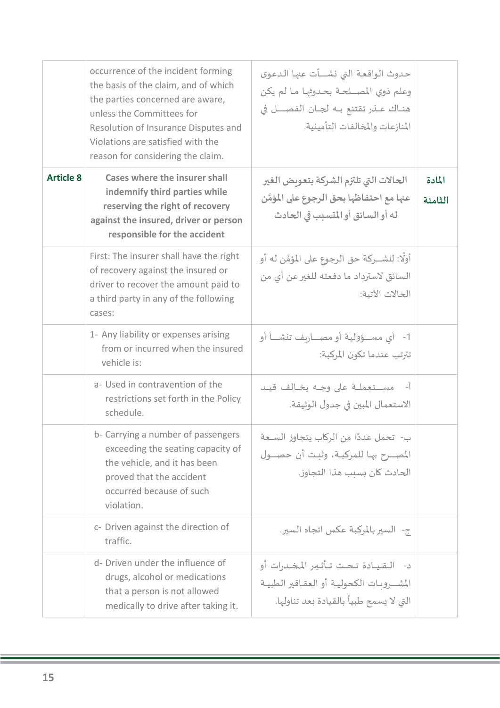|                  | occurrence of the incident forming<br>the basis of the claim, and of which<br>the parties concerned are aware,<br>unless the Committees for<br>Resolution of Insurance Disputes and<br>Violations are satisfied with the<br>reason for considering the claim. | حدوث الواقعة التي نشــأت عنها الدعوى<br>وعلم ذوي المصلحة بحدوثها ما لم يكن<br>هناك عـذر تقتنع بـه لجـان الفصـــل في<br>المنازعات والمخالفات التأمينية. |                   |
|------------------|---------------------------------------------------------------------------------------------------------------------------------------------------------------------------------------------------------------------------------------------------------------|--------------------------------------------------------------------------------------------------------------------------------------------------------|-------------------|
| <b>Article 8</b> | <b>Cases where the insurer shall</b><br>indemnify third parties while<br>reserving the right of recovery<br>against the insured, driver or person<br>responsible for the accident                                                                             | الحالات التي تلتزم الشركة بتعويض الغير<br>عنها مع احتفاظها بحق الرجوع على المؤمَّن<br>له أوالسائق أوالمتسبب في الحادث                                  | المادة<br>الثامنة |
|                  | First: The insurer shall have the right<br>of recovery against the insured or<br>driver to recover the amount paid to<br>a third party in any of the following<br>cases:                                                                                      | أُولًا: للشـــركة حق الرجوع على المؤمَّن له أو<br>السائق لاسترداد ما دفعته للغير عن أي من<br>الحالات الآتية:                                           |                   |
|                  | 1- Any liability or expenses arising<br>from or incurred when the insured<br>vehicle is:                                                                                                                                                                      | 1- أي مســؤولية أو مصــارىف تنشــأ أو<br>تترتب عندما تكون المركبة:                                                                                     |                   |
|                  | a- Used in contravention of the<br>restrictions set forth in the Policy<br>schedule.                                                                                                                                                                          | مستعملة على وجه يخالف قيد<br>$-1$<br>الاستعمال المبين في جدول الوثيقة.                                                                                 |                   |
|                  | b- Carrying a number of passengers<br>exceeding the seating capacity of<br>the vehicle, and it has been<br>proved that the accident<br>occurred because of such<br>violation.                                                                                 | ب-  تحمل عددًا من الركاب يتجاوز الســعة<br>المصـــرح بهـا للمركبــة، وثبت أن حصـــول<br>الحادث كان بسبب هذا التجاوز.                                   |                   |
|                  | c- Driven against the direction of<br>traffic.                                                                                                                                                                                                                | ج-  السير بالمركبة عكس اتجاه السير.                                                                                                                    |                   |
|                  | d- Driven under the influence of<br>drugs, alcohol or medications<br>that a person is not allowed<br>medically to drive after taking it.                                                                                                                      | د- الـقـيـادة تـحت تـأثـير المخـدرات أو<br>المشـــرومات الكحوليـة أو العقـاقير الطبيـة<br>التي لا يسمح طبياً بالقيادة بعد تناولها.                     |                   |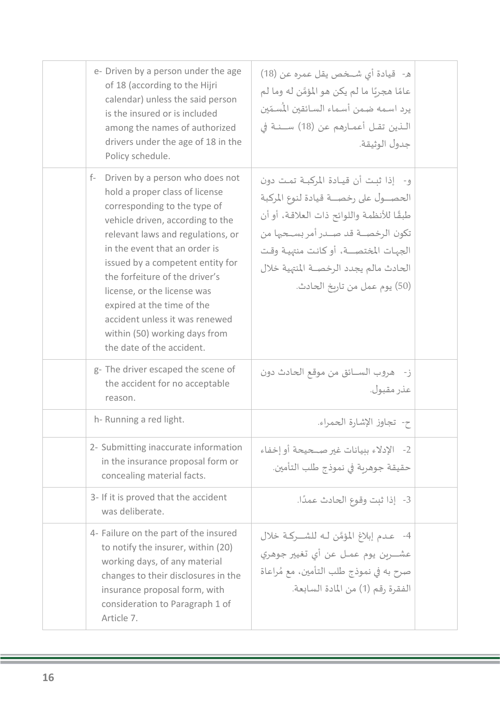| e- Driven by a person under the age<br>of 18 (according to the Hijri<br>calendar) unless the said person<br>is the insured or is included<br>among the names of authorized<br>drivers under the age of 18 in the<br>Policy schedule.                                                                                                                                                                                                              | هـ- قيادة أي شــخص يقل عمره عن (18)<br>عامًا هجريًا ما لم يكن هو المؤمَّن له وما لم<br>يرد اسـمه ضمن أسـماء السـائقين المُسـمّين<br>الندين تقل أعمارهم عن (18) ســنـة في<br>جدول الوثيقة.                                                                                          |  |
|---------------------------------------------------------------------------------------------------------------------------------------------------------------------------------------------------------------------------------------------------------------------------------------------------------------------------------------------------------------------------------------------------------------------------------------------------|------------------------------------------------------------------------------------------------------------------------------------------------------------------------------------------------------------------------------------------------------------------------------------|--|
| f- Driven by a person who does not<br>hold a proper class of license<br>corresponding to the type of<br>vehicle driven, according to the<br>relevant laws and regulations, or<br>in the event that an order is<br>issued by a competent entity for<br>the forfeiture of the driver's<br>license, or the license was<br>expired at the time of the<br>accident unless it was renewed<br>within (50) working days from<br>the date of the accident. | و- إذا ثبت أن قيادة المركبة تمت دون<br>الحصول على رخصة قيادة لنوع المركبة<br>طبقًا للأنظمة واللوائح ذات العلاقة، أو أن<br>تكون الرخصـــة قد صـــدر أمر بســحها من<br>الجهات المختصبة، أو كانت منتهية وقت<br>الحادث مالم يجدد الرخصة المنتهية خلال<br>(50) يوم عمل من تاريخ الحادث. |  |
| g- The driver escaped the scene of<br>the accident for no acceptable<br>reason.                                                                                                                                                                                                                                                                                                                                                                   | ز-   هروب الســـائق من موقع الحادث دون<br>عذر مقبول.                                                                                                                                                                                                                               |  |
| h- Running a red light.                                                                                                                                                                                                                                                                                                                                                                                                                           | ح- تجاوز الإشارة الحمراء.                                                                                                                                                                                                                                                          |  |
| 2- Submitting inaccurate information<br>in the insurance proposal form or<br>concealing material facts.                                                                                                                                                                                                                                                                                                                                           | 2- الإدلاء ببيانات غير صحيحة أو إخفاء<br>حقيقة جوهربة في نموذج طلب التأمين.                                                                                                                                                                                                        |  |
| 3- If it is proved that the accident<br>was deliberate.                                                                                                                                                                                                                                                                                                                                                                                           | 3- إذا ثبت وقوع الحادث عمدًا.                                                                                                                                                                                                                                                      |  |
| 4- Failure on the part of the insured<br>to notify the insurer, within (20)<br>working days, of any material<br>changes to their disclosures in the<br>insurance proposal form, with<br>consideration to Paragraph 1 of<br>Article 7.                                                                                                                                                                                                             | 4- عدم إبلاغ المؤمَّن لـه للشـــركـة خلال<br>عشــــربِن يوم عمــل عن أي تغيير جوهري<br>صرح به في نموذج طلب التأمين، مع مُراعاة<br>الفقرة رقم (1) من المادة السابعة.                                                                                                                |  |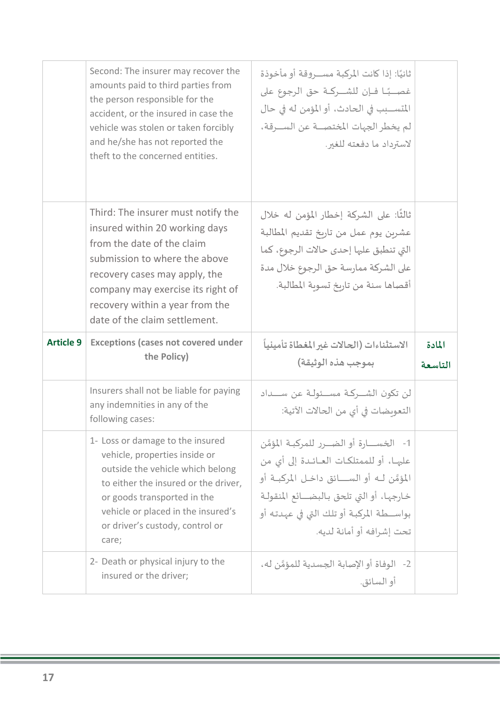|                  | Second: The insurer may recover the<br>amounts paid to third parties from<br>the person responsible for the<br>accident, or the insured in case the<br>vehicle was stolen or taken forcibly<br>and he/she has not reported the<br>theft to the concerned entities.            | ثانيًا: إذا كانت المركبة مســـروقة أو مأخوذة<br>غصبًا فإن للشــركـة حق الرجوع على<br>المتســبب في الحادث، أو المؤمن له في حال<br>لم يخطر الجهات المختصة عن الســرقة،<br>لاسترداد ما دفعته للغبر.                                                              |                   |
|------------------|-------------------------------------------------------------------------------------------------------------------------------------------------------------------------------------------------------------------------------------------------------------------------------|---------------------------------------------------------------------------------------------------------------------------------------------------------------------------------------------------------------------------------------------------------------|-------------------|
|                  | Third: The insurer must notify the<br>insured within 20 working days<br>from the date of the claim<br>submission to where the above<br>recovery cases may apply, the<br>company may exercise its right of<br>recovery within a year from the<br>date of the claim settlement. | ثالثًا: على الشركة إخطار المؤمن له خلال<br>عشرين يوم عمل من تاريخ تقديم المطالبة<br>التي تنطبق عليها إحدى حالات الرجوع، كما<br>على الشركة ممارسة حق الرجوع خلال مدة<br>أقصاها سنة من تاريخ تسوية المطالبة.                                                    |                   |
| <b>Article 9</b> |                                                                                                                                                                                                                                                                               |                                                                                                                                                                                                                                                               |                   |
|                  | <b>Exceptions (cases not covered under</b><br>the Policy)                                                                                                                                                                                                                     | الاستثناءات (الحالات غير المغطاة تأمينياً<br>بموجب هذه الوثيقة)                                                                                                                                                                                               | المادة<br>التاسعة |
|                  | Insurers shall not be liable for paying<br>any indemnities in any of the<br>following cases:                                                                                                                                                                                  | لن تكون الشـــركــة مســـئولــة عن ســــداد<br>التعويضات في أي من الحالات الآتية:                                                                                                                                                                             |                   |
|                  | 1- Loss or damage to the insured<br>vehicle, properties inside or<br>outside the vehicle which belong<br>to either the insured or the driver,<br>or goods transported in the<br>vehicle or placed in the insured's<br>or driver's custody, control or<br>care;                | 1- الخســـارة أو الضـــرر للمركبـة المؤمَّن<br>عليها، أو للممتلكات العائدة إلى أي من<br>المؤمَّن لـه أو الســــائق داخـل المركبــة أو<br>خارجها، أو التي تلحق بالبضــائع المنقولـة<br>بواســطة المركبـة أو تلك التي في عهدتـه أو<br>تحت إشرافه أو أمانة لديه. |                   |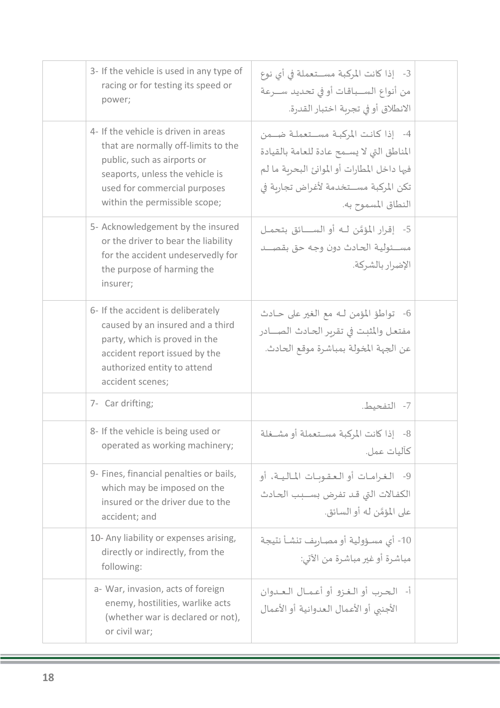| power;                                                 | 3- If the vehicle is used in any type of<br>racing or for testing its speed or                                                                                                  | 3- إذا كانت المركبة مستعملة في أي نوع<br>من أنواع الســباقات أو في تحديد ســـرعة<br>الانطلاق أو في تجربة اختبار القدرة.                                                                       |  |
|--------------------------------------------------------|---------------------------------------------------------------------------------------------------------------------------------------------------------------------------------|-----------------------------------------------------------------------------------------------------------------------------------------------------------------------------------------------|--|
| public, such as airports or                            | 4- If the vehicle is driven in areas<br>that are normally off-limits to the<br>seaports, unless the vehicle is<br>used for commercial purposes<br>within the permissible scope; | 4- إذا كانت المركبة مستعملة ضــمن<br>المناطق التى لا يسمح عادة للعامة بالقيادة<br>فيها داخل المطارات أو الموانئ البحربة ما لم<br>تكن المركبة مســتخدمة لأغراض تجاربة في<br>النطاق المسموح به. |  |
| insurer;                                               | 5- Acknowledgement by the insured<br>or the driver to bear the liability<br>for the accident undeservedly for<br>the purpose of harming the                                     | 5- إقرار المؤمَّن لـه أو الســــائق بتحمـل<br>مســـئوليـة الحـادث دون وجه حق بقصـــد<br>الإضرار بالشركة.                                                                                      |  |
| 6- If the accident is deliberately<br>accident scenes; | caused by an insured and a third<br>party, which is proved in the<br>accident report issued by the<br>authorized entity to attend                                               | 6- تواطؤ المؤمن له مع الغير على حـادث<br>مفتعل والمثبت في تقرير الحادث الصـــادر<br>عن الجهة المخولة بمباشرة موقع الحادث.                                                                     |  |
| 7- Car drifting;                                       |                                                                                                                                                                                 | 7- التفحيط.                                                                                                                                                                                   |  |
| 8- If the vehicle is being used or                     | operated as working machinery;                                                                                                                                                  | 8- إذا كانت المركبة مستعملة أو مشـغلة<br>كآليات عمل.                                                                                                                                          |  |
| accident; and                                          | 9- Fines, financial penalties or bails,<br>which may be imposed on the<br>insured or the driver due to the                                                                      | 9- الغرامات أو العقوبات المالية، أو<br>الكفالات التي قد تفرض بسبب الحادث<br>على المؤمَّن له أو السائق.                                                                                        |  |
| following:                                             | 10- Any liability or expenses arising,<br>directly or indirectly, from the                                                                                                      | 10- أي مسـؤولية أو مصـاريف تنشـأ نتيجة<br>مباشرة أو غير مباشرة من الآتي:                                                                                                                      |  |
| or civil war;                                          | a- War, invasion, acts of foreign<br>enemy, hostilities, warlike acts<br>(whether war is declared or not),                                                                      | أ- الحرب أو الغزو أو أعمال العدوان<br>الأجنبي أو الأعمال العدوانية أو الأعمال                                                                                                                 |  |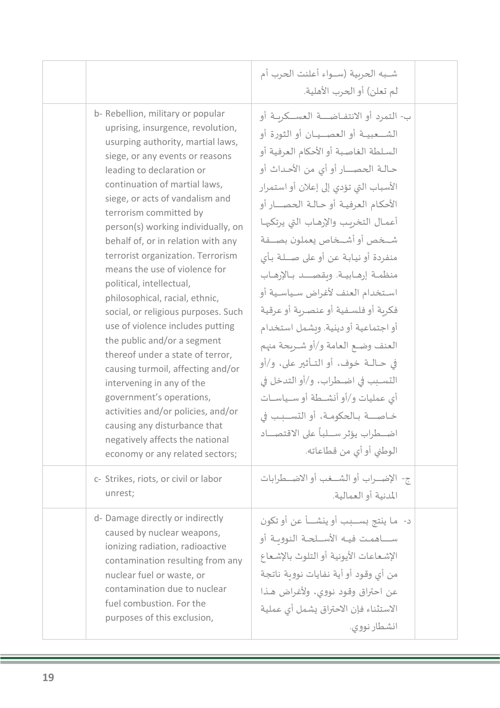|                                                                                                                                                                                                                                                                                                                                                                                                                                                                                                                                                                                                                                                                                                                                                                                                                                                                                   | شــبه الحربية (ســواء أعلنت الحرب أم<br>لم تعلن) أو الحرب الأهلية.                                                                                                                                                                                                                                                                                                                                                                                                                                                                                                                                                                                                                                                                                                                               |
|-----------------------------------------------------------------------------------------------------------------------------------------------------------------------------------------------------------------------------------------------------------------------------------------------------------------------------------------------------------------------------------------------------------------------------------------------------------------------------------------------------------------------------------------------------------------------------------------------------------------------------------------------------------------------------------------------------------------------------------------------------------------------------------------------------------------------------------------------------------------------------------|--------------------------------------------------------------------------------------------------------------------------------------------------------------------------------------------------------------------------------------------------------------------------------------------------------------------------------------------------------------------------------------------------------------------------------------------------------------------------------------------------------------------------------------------------------------------------------------------------------------------------------------------------------------------------------------------------------------------------------------------------------------------------------------------------|
| b- Rebellion, military or popular<br>uprising, insurgence, revolution,<br>usurping authority, martial laws,<br>siege, or any events or reasons<br>leading to declaration or<br>continuation of martial laws,<br>siege, or acts of vandalism and<br>terrorism committed by<br>person(s) working individually, on<br>behalf of, or in relation with any<br>terrorist organization. Terrorism<br>means the use of violence for<br>political, intellectual,<br>philosophical, racial, ethnic,<br>social, or religious purposes. Such<br>use of violence includes putting<br>the public and/or a segment<br>thereof under a state of terror,<br>causing turmoil, affecting and/or<br>intervening in any of the<br>government's operations,<br>activities and/or policies, and/or<br>causing any disturbance that<br>negatively affects the national<br>economy or any related sectors; | ب- التمرد أو الانتفــاضــــة الـعســكربــة أو<br>الشــعبيــة أو العصــيــان أو الثورة أو<br>السلطة الغاصبة أو الأحكام العرفية أو<br>حالة الحصـــار أو أي من الأحداث أو<br>الأسباب التي تؤدي إلى إعلان أو استمرار<br>الأحكام العرفية أو حالة الحصــار أو<br>أعمال التخربب والإرهاب التى يرتكها<br>شهخص أو أشهخاص يعملون بصفة<br>منفردة أو نيابة عن أو على صلة بأي<br>منظمة إرهابية. وبقصــد بالإرهاب<br>استخدام العنف لأغراض سياسية أو<br>فكربة أو فلسـفية أو عنصـربة أو عرقية<br>أو اجتماعية أو دينية. وبشمل استخدام<br>العنف وضع العامة و/أو شــربحة منهم<br>في حـالــة خوف، أو التـأثير على، و/أو<br>التسبب في اضطراب، و/أو التدخل في<br>أي عمليات و/أو أنشــطة أو ســياســات<br>خـاصــــة بـالحكومــة، أو التســبب في<br>اضـــطراب يؤثر ســـلبـاً على الاقتصـــاد<br>الوطني أو أي من قطاعاته. |
| c- Strikes, riots, or civil or labor<br>unrest;                                                                                                                                                                                                                                                                                                                                                                                                                                                                                                                                                                                                                                                                                                                                                                                                                                   | ج- الإضـــراب أو الشـــغب أو الاضـــطرابات<br>المدنية أو العمالية.                                                                                                                                                                                                                                                                                                                                                                                                                                                                                                                                                                                                                                                                                                                               |
| d- Damage directly or indirectly<br>caused by nuclear weapons,<br>ionizing radiation, radioactive<br>contamination resulting from any<br>nuclear fuel or waste, or<br>contamination due to nuclear<br>fuel combustion. For the<br>purposes of this exclusion,                                                                                                                                                                                                                                                                                                                                                                                                                                                                                                                                                                                                                     | د- ما ينتج بســبب أو ينشـــأ عن أو تكون<br>ســــاهمـت فيــه الأســـلحــة النووبـة أو<br>الإشعاعات الأيونية أو التلوث بالإشعاع<br>من أي وقود أو أية نفايات نووبة ناتجة<br>عن احتراق وقود نووي، ولأغراض هـذا<br>الاستثناء فإن الاحتراق يشمل أي عملية<br>انشطار نووی.                                                                                                                                                                                                                                                                                                                                                                                                                                                                                                                               |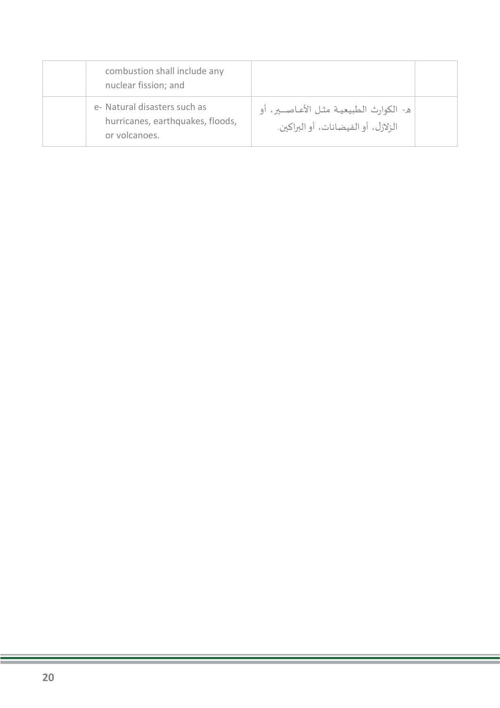| combustion shall include any<br>nuclear fission; and                              |                                                                                  |  |
|-----------------------------------------------------------------------------------|----------------------------------------------------------------------------------|--|
| e- Natural disasters such as<br>hurricanes, earthquakes, floods,<br>or volcanoes. | ه- الكوارث الطبيعية مثل الأعـاصــــير، أو<br>الزلازل، أو الفيضانات، أو البراكين. |  |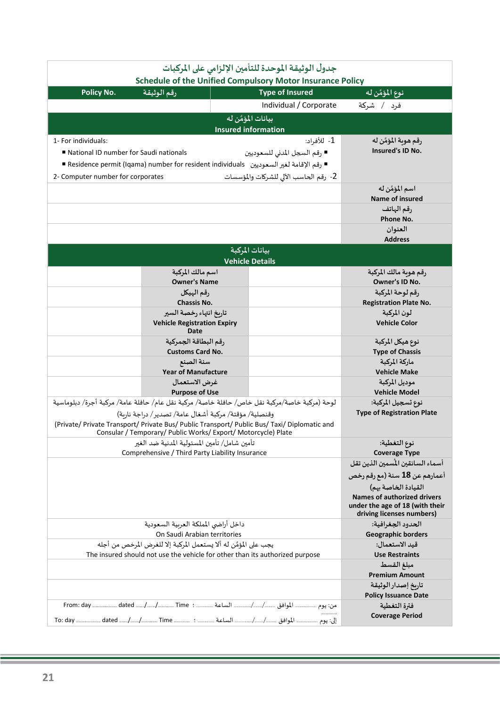| جدول الوثيقة الموحدة للتأمين الإلزامي على المركبات<br><b>Schedule of the Unified Compulsory Motor Insurance Policy</b>                                                                                                                                                                                                  |                                                                                            |                                                  |                                                                                              |
|-------------------------------------------------------------------------------------------------------------------------------------------------------------------------------------------------------------------------------------------------------------------------------------------------------------------------|--------------------------------------------------------------------------------------------|--------------------------------------------------|----------------------------------------------------------------------------------------------|
|                                                                                                                                                                                                                                                                                                                         |                                                                                            |                                                  |                                                                                              |
| <b>Policy No.</b>                                                                                                                                                                                                                                                                                                       | رقم الوثيقة                                                                                | <b>Type of Insured</b>                           | نوع المؤمَّن له                                                                              |
|                                                                                                                                                                                                                                                                                                                         |                                                                                            | Individual / Corporate                           | فرد / شركة                                                                                   |
|                                                                                                                                                                                                                                                                                                                         |                                                                                            | بيانات المؤمَّن له<br><b>Insured information</b> |                                                                                              |
| 1- For individuals:<br>■ National ID number for Saudi nationals                                                                                                                                                                                                                                                         |                                                                                            | 1- للأفراد:<br>■ رقم السجل المدنى للسعوديين      | رقم هوبة المؤمَّن له<br>Insured's ID No.                                                     |
| 2- Computer number for corporates                                                                                                                                                                                                                                                                                       | ■ رقم الإقامة لغير السعوديين   Residence permit (Iqama) number for resident individuals  = | 2- رقم الحاسب الآلي للشركات والمؤسسات            |                                                                                              |
|                                                                                                                                                                                                                                                                                                                         |                                                                                            |                                                  | اسم المؤمَّن له<br>Name of insured                                                           |
|                                                                                                                                                                                                                                                                                                                         |                                                                                            |                                                  | رقم الهاتف<br>Phone No.                                                                      |
|                                                                                                                                                                                                                                                                                                                         |                                                                                            |                                                  | العنوان<br><b>Address</b>                                                                    |
|                                                                                                                                                                                                                                                                                                                         |                                                                                            | بيانات المركبة                                   |                                                                                              |
|                                                                                                                                                                                                                                                                                                                         |                                                                                            | <b>Vehicle Details</b>                           |                                                                                              |
|                                                                                                                                                                                                                                                                                                                         | اسم مالك المركبة<br><b>Owner's Name</b>                                                    |                                                  | رقم هوبة مالك المركبة<br>Owner's ID No.                                                      |
|                                                                                                                                                                                                                                                                                                                         | رقم الهيكل<br>Chassis No.                                                                  |                                                  | رقم لوحة المركبة<br><b>Registration Plate No.</b>                                            |
|                                                                                                                                                                                                                                                                                                                         | تاربخ انتهاء رخصة السير                                                                    |                                                  | لون المركبة                                                                                  |
|                                                                                                                                                                                                                                                                                                                         | <b>Vehicle Registration Expiry</b><br>Date                                                 |                                                  | <b>Vehicle Color</b>                                                                         |
|                                                                                                                                                                                                                                                                                                                         | رقم البطاقة الجمركية<br><b>Customs Card No.</b>                                            |                                                  | نوع هيكل المركبة<br><b>Type of Chassis</b>                                                   |
|                                                                                                                                                                                                                                                                                                                         | سنة الصنع<br><b>Year of Manufacture</b>                                                    |                                                  | ماركة المركبة<br><b>Vehicle Make</b>                                                         |
|                                                                                                                                                                                                                                                                                                                         | غرض الاستعمال<br><b>Purpose of Use</b>                                                     |                                                  | موديل المركبة<br><b>Vehicle Model</b>                                                        |
|                                                                                                                                                                                                                                                                                                                         |                                                                                            |                                                  | نوع تسجيل المركبة:                                                                           |
| لوحة (مركبة خاصة/مركبة نقل خاص/ حافلة خاصة/ مركبة نقل عام/ حافلة عامة/ مركبة أجرة/ دبلوماسية<br>وقنصلية/ مؤقتة/ مركبة أشغال عامة/ تصدير / دراجة ناربة)<br>(Private/ Private Transport/ Private Bus/ Public Transport/ Public Bus/ Taxi/ Diplomatic and<br>Consular / Temporary/ Public Works/ Export/ Motorcycle) Plate |                                                                                            | <b>Type of Registration Plate</b>                |                                                                                              |
|                                                                                                                                                                                                                                                                                                                         | تأمين شامل/ تأمين المسئولية المدنية ضد الغير                                               |                                                  | نوع التغطية:                                                                                 |
|                                                                                                                                                                                                                                                                                                                         | Comprehensive / Third Party Liability Insurance                                            |                                                  | <b>Coverage Type</b>                                                                         |
|                                                                                                                                                                                                                                                                                                                         |                                                                                            |                                                  | أسماء السائقين المُسمين الذين تقل                                                            |
|                                                                                                                                                                                                                                                                                                                         |                                                                                            |                                                  | أعمارهم عن 18 سنة (مع رقم رخص                                                                |
|                                                                                                                                                                                                                                                                                                                         |                                                                                            |                                                  | القيادة الخاصة بهم)<br><b>Names of authorized drivers</b><br>under the age of 18 (with their |
|                                                                                                                                                                                                                                                                                                                         | داخل أراضي المملكة العربية السعودية                                                        |                                                  | driving licenses numbers)<br>الحدود الجغرافية:                                               |
|                                                                                                                                                                                                                                                                                                                         | On Saudi Arabian territories                                                               |                                                  | <b>Geographic borders</b>                                                                    |
|                                                                                                                                                                                                                                                                                                                         | يجب على المؤمَّن له ألا يستعمل المركبة إلا للغرض المرخص من أجله                            |                                                  | قيد الاستعمال:                                                                               |
|                                                                                                                                                                                                                                                                                                                         | The insured should not use the vehicle for other than its authorized purpose               |                                                  | <b>Use Restraints</b>                                                                        |
|                                                                                                                                                                                                                                                                                                                         |                                                                                            |                                                  | مبلغ القسط<br><b>Premium Amount</b>                                                          |
|                                                                                                                                                                                                                                                                                                                         |                                                                                            |                                                  | تاربخ إصدار الوثيقة<br><b>Policy Issuance Date</b>                                           |
|                                                                                                                                                                                                                                                                                                                         |                                                                                            |                                                  | فترة التغطية                                                                                 |
|                                                                                                                                                                                                                                                                                                                         |                                                                                            |                                                  | <b>Coverage Period</b>                                                                       |